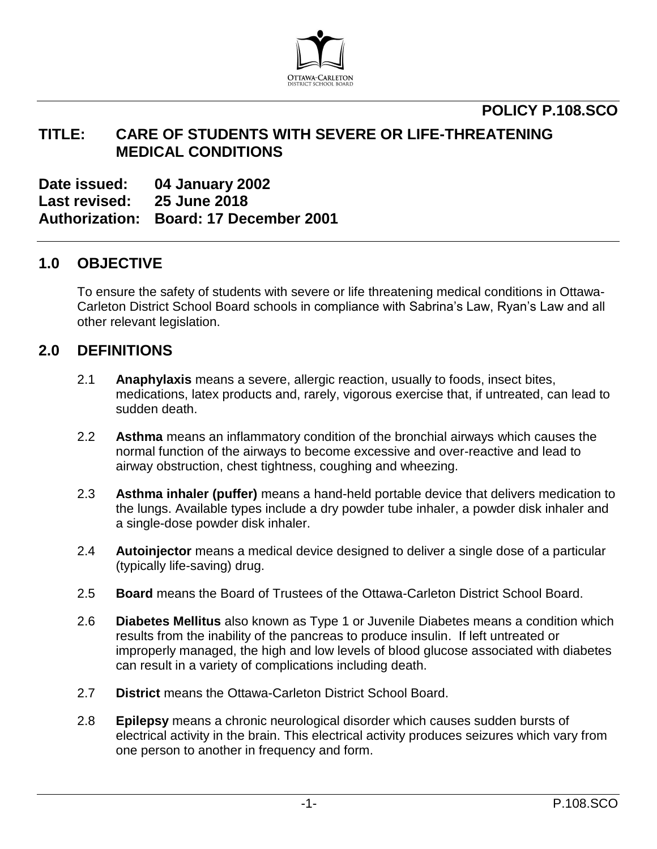

## **POLICY P.108.SCO**

## **TITLE: CARE OF STUDENTS WITH SEVERE OR LIFE-THREATENING MEDICAL CONDITIONS**

**Date issued: 04 January 2002 Last revised: 25 June 2018**

**Authorization: Board: 17 December 2001**

## **1.0 OBJECTIVE**

To ensure the safety of students with severe or life threatening medical conditions in Ottawa-Carleton District School Board schools in compliance with Sabrina's Law, Ryan's Law and all other relevant legislation.

## **2.0 DEFINITIONS**

- 2.1 **Anaphylaxis** means a severe, allergic reaction, usually to foods, insect bites, medications, latex products and, rarely, vigorous exercise that, if untreated, can lead to sudden death.
- 2.2 **Asthma** means an inflammatory condition of the bronchial airways which causes the normal function of the airways to become excessive and over-reactive and lead to airway obstruction, chest tightness, coughing and wheezing.
- 2.3 **Asthma inhaler (puffer)** means a hand-held portable device that delivers medication to the lungs. Available types include a dry powder tube inhaler, a powder disk inhaler and a single-dose powder disk inhaler.
- 2.4 **Autoinjector** means a medical device designed to deliver a single dose of a particular (typically life-saving) drug.
- 2.5 **Board** means the Board of Trustees of the Ottawa-Carleton District School Board.
- 2.6 **Diabetes Mellitus** also known as Type 1 or Juvenile Diabetes means a condition which results from the inability of the pancreas to produce insulin. If left untreated or improperly managed, the high and low levels of blood glucose associated with diabetes can result in a variety of complications including death.
- 2.7 **District** means the Ottawa-Carleton District School Board.
- 2.8 **Epilepsy** means a chronic neurological disorder which causes sudden bursts of electrical activity in the brain. This electrical activity produces seizures which vary from one person to another in frequency and form.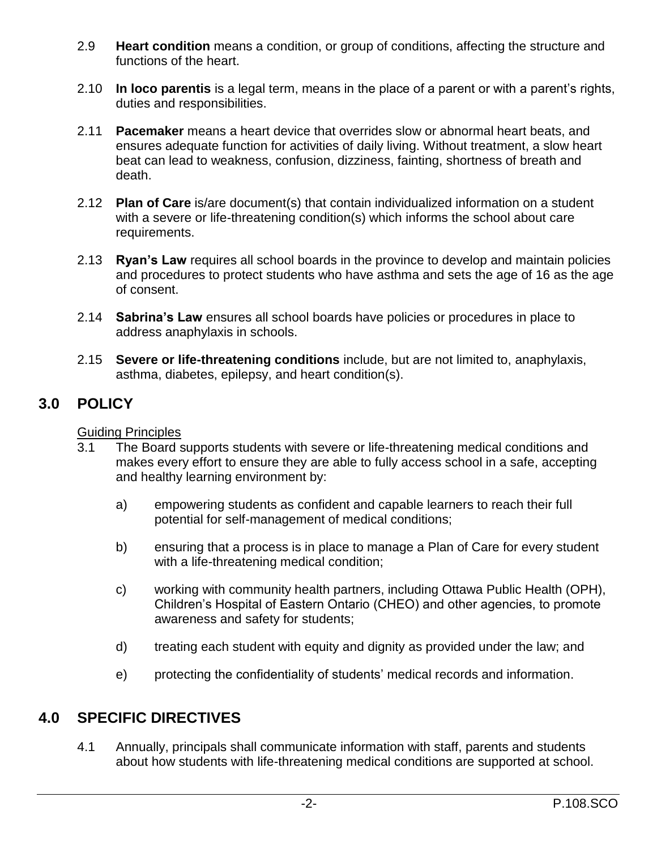- 2.9 **Heart condition** means a condition, or group of conditions, affecting the structure and functions of the heart.
- 2.10 **In loco parentis** is a legal term, means in the place of a parent or with a parent's rights, duties and responsibilities.
- 2.11 **Pacemaker** means a heart device that overrides slow or abnormal heart beats, and ensures adequate function for activities of daily living. Without treatment, a slow heart beat can lead to weakness, confusion, dizziness, fainting, shortness of breath and death.
- 2.12 **Plan of Care** is/are document(s) that contain individualized information on a student with a severe or life-threatening condition(s) which informs the school about care requirements.
- 2.13 **Ryan's Law** requires all school boards in the province to develop and maintain policies and procedures to protect students who have asthma and sets the age of 16 as the age of consent.
- 2.14 **Sabrina's Law** ensures all school boards have policies or procedures in place to address anaphylaxis in schools.
- 2.15 **Severe or life-threatening conditions** include, but are not limited to, anaphylaxis, asthma, diabetes, epilepsy, and heart condition(s).

## **3.0 POLICY**

### Guiding Principles

- 3.1 The Board supports students with severe or life-threatening medical conditions and makes every effort to ensure they are able to fully access school in a safe, accepting and healthy learning environment by:
	- a) empowering students as confident and capable learners to reach their full potential for self-management of medical conditions;
	- b) ensuring that a process is in place to manage a Plan of Care for every student with a life-threatening medical condition;
	- c) working with community health partners, including Ottawa Public Health (OPH), Children's Hospital of Eastern Ontario (CHEO) and other agencies, to promote awareness and safety for students;
	- d) treating each student with equity and dignity as provided under the law; and
	- e) protecting the confidentiality of students' medical records and information.

## **4.0 SPECIFIC DIRECTIVES**

4.1 Annually, principals shall communicate information with staff, parents and students about how students with life-threatening medical conditions are supported at school.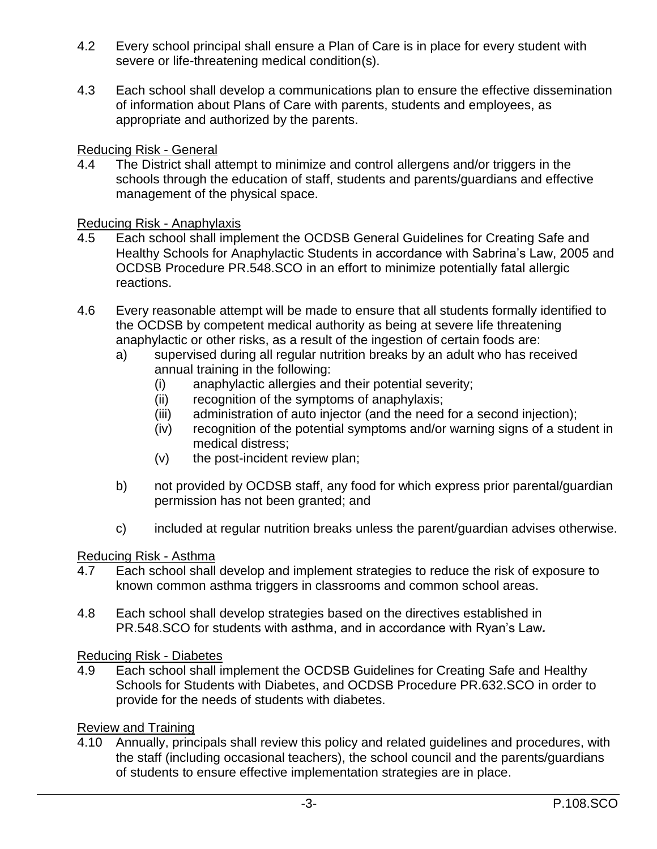- 4.2 Every school principal shall ensure a Plan of Care is in place for every student with severe or life-threatening medical condition(s).
- 4.3 Each school shall develop a communications plan to ensure the effective dissemination of information about Plans of Care with parents, students and employees, as appropriate and authorized by the parents.

Reducing Risk - General

4.4 The District shall attempt to minimize and control allergens and/or triggers in the schools through the education of staff, students and parents/guardians and effective management of the physical space.

Reducing Risk - Anaphylaxis

- 4.5 Each school shall implement the OCDSB General Guidelines for Creating Safe and Healthy Schools for Anaphylactic Students in accordance with Sabrina's Law, 2005 and OCDSB Procedure PR.548.SCO in an effort to minimize potentially fatal allergic reactions.
- 4.6 Every reasonable attempt will be made to ensure that all students formally identified to the OCDSB by competent medical authority as being at severe life threatening anaphylactic or other risks, as a result of the ingestion of certain foods are:
	- a) supervised during all regular nutrition breaks by an adult who has received annual training in the following:
		- (i) anaphylactic allergies and their potential severity;
		- (ii) recognition of the symptoms of anaphylaxis;
		- (iii) administration of auto injector (and the need for a second injection);
		- (iv) recognition of the potential symptoms and/or warning signs of a student in medical distress;
		- (v) the post-incident review plan;
	- b) not provided by OCDSB staff, any food for which express prior parental/guardian permission has not been granted; and
	- c) included at regular nutrition breaks unless the parent/guardian advises otherwise.

#### Reducing Risk - Asthma

- 4.7 Each school shall develop and implement strategies to reduce the risk of exposure to known common asthma triggers in classrooms and common school areas.
- 4.8 Each school shall develop strategies based on the directives established in PR.548.SCO for students with asthma, and in accordance with Ryan's Law*.*

#### Reducing Risk - Diabetes

4.9 Each school shall implement the OCDSB Guidelines for Creating Safe and Healthy Schools for Students with Diabetes, and OCDSB Procedure PR.632.SCO in order to provide for the needs of students with diabetes.

### Review and Training

4.10 Annually, principals shall review this policy and related guidelines and procedures, with the staff (including occasional teachers), the school council and the parents/guardians of students to ensure effective implementation strategies are in place.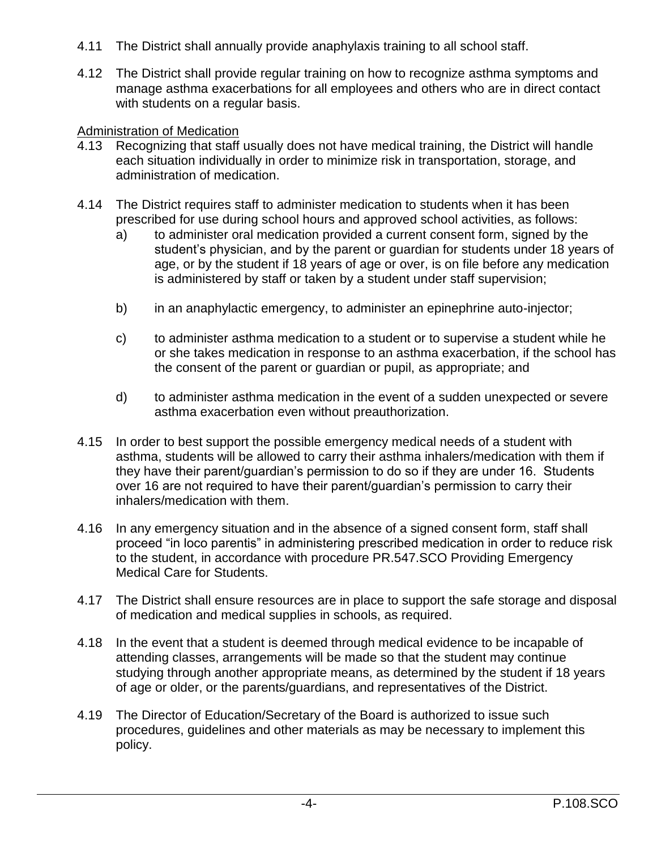- 4.11 The District shall annually provide anaphylaxis training to all school staff.
- 4.12 The District shall provide regular training on how to recognize asthma symptoms and manage asthma exacerbations for all employees and others who are in direct contact with students on a regular basis.

### Administration of Medication

- 4.13 Recognizing that staff usually does not have medical training, the District will handle each situation individually in order to minimize risk in transportation, storage, and administration of medication.
- 4.14 The District requires staff to administer medication to students when it has been prescribed for use during school hours and approved school activities, as follows:
	- a) to administer oral medication provided a current consent form, signed by the student's physician, and by the parent or guardian for students under 18 years of age, or by the student if 18 years of age or over, is on file before any medication is administered by staff or taken by a student under staff supervision;
	- b) in an anaphylactic emergency, to administer an epinephrine auto-injector;
	- c) to administer asthma medication to a student or to supervise a student while he or she takes medication in response to an asthma exacerbation, if the school has the consent of the parent or guardian or pupil, as appropriate; and
	- d) to administer asthma medication in the event of a sudden unexpected or severe asthma exacerbation even without preauthorization.
- 4.15 In order to best support the possible emergency medical needs of a student with asthma, students will be allowed to carry their asthma inhalers/medication with them if they have their parent/guardian's permission to do so if they are under 16. Students over 16 are not required to have their parent/guardian's permission to carry their inhalers/medication with them.
- 4.16 In any emergency situation and in the absence of a signed consent form, staff shall proceed "in loco parentis" in administering prescribed medication in order to reduce risk to the student, in accordance with procedure PR.547.SCO Providing Emergency Medical Care for Students.
- 4.17 The District shall ensure resources are in place to support the safe storage and disposal of medication and medical supplies in schools, as required.
- 4.18 In the event that a student is deemed through medical evidence to be incapable of attending classes, arrangements will be made so that the student may continue studying through another appropriate means, as determined by the student if 18 years of age or older, or the parents/guardians, and representatives of the District.
- 4.19 The Director of Education/Secretary of the Board is authorized to issue such procedures, guidelines and other materials as may be necessary to implement this policy.